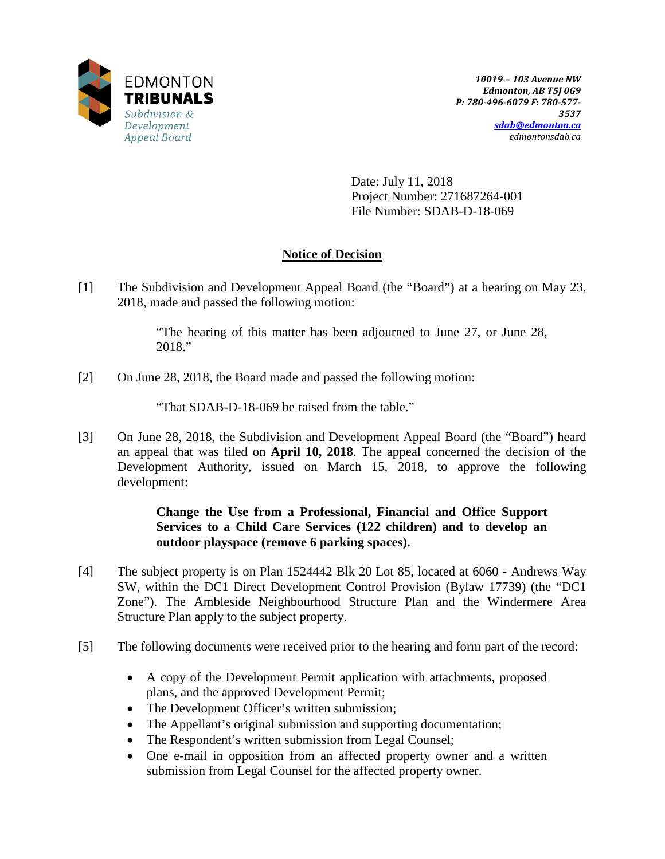

Date: July 11, 2018 Project Number: 271687264-001 File Number: SDAB-D-18-069

# **Notice of Decision**

[1] The Subdivision and Development Appeal Board (the "Board") at a hearing on May 23, 2018, made and passed the following motion:

> "The hearing of this matter has been adjourned to June 27, or June 28, 2018."

[2] On June 28, 2018, the Board made and passed the following motion:

"That SDAB-D-18-069 be raised from the table."

[3] On June 28, 2018, the Subdivision and Development Appeal Board (the "Board") heard an appeal that was filed on **April 10, 2018**. The appeal concerned the decision of the Development Authority, issued on March 15, 2018, to approve the following development:

## **Change the Use from a Professional, Financial and Office Support Services to a Child Care Services (122 children) and to develop an outdoor playspace (remove 6 parking spaces).**

- [4] The subject property is on Plan 1524442 Blk 20 Lot 85, located at 6060 Andrews Way SW, within the DC1 Direct Development Control Provision (Bylaw 17739) (the "DC1 Zone"). The Ambleside Neighbourhood Structure Plan and the Windermere Area Structure Plan apply to the subject property.
- [5] The following documents were received prior to the hearing and form part of the record:
	- A copy of the Development Permit application with attachments, proposed plans, and the approved Development Permit;
	- The Development Officer's written submission;
	- The Appellant's original submission and supporting documentation;
	- The Respondent's written submission from Legal Counsel;
	- One e-mail in opposition from an affected property owner and a written submission from Legal Counsel for the affected property owner.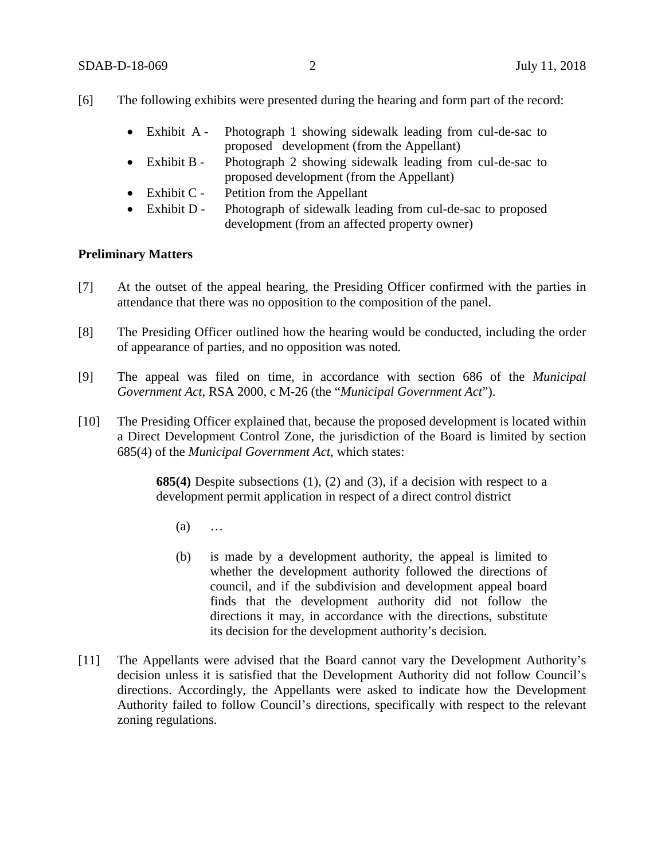- [6] The following exhibits were presented during the hearing and form part of the record:
	- Exhibit A Photograph 1 showing sidewalk leading from cul-de-sac to proposed development (from the Appellant)
	- Exhibit B Photograph 2 showing sidewalk leading from cul-de-sac to proposed development (from the Appellant)
	- Exhibit C Petition from the Appellant
	- Exhibit D Photograph of sidewalk leading from cul-de-sac to proposed development (from an affected property owner)

#### **Preliminary Matters**

- [7] At the outset of the appeal hearing, the Presiding Officer confirmed with the parties in attendance that there was no opposition to the composition of the panel.
- [8] The Presiding Officer outlined how the hearing would be conducted, including the order of appearance of parties, and no opposition was noted.
- [9] The appeal was filed on time, in accordance with section 686 of the *Municipal Government Act*, RSA 2000, c M-26 (the "*Municipal Government Act*").
- [10] The Presiding Officer explained that, because the proposed development is located within a Direct Development Control Zone, the jurisdiction of the Board is limited by section 685(4) of the *Municipal Government Act,* which states:

**685(4)** Despite subsections (1), (2) and (3), if a decision with respect to a development permit application in respect of a direct control district

- (a) …
- (b) is made by a development authority, the appeal is limited to whether the development authority followed the directions of council, and if the subdivision and development appeal board finds that the development authority did not follow the directions it may, in accordance with the directions, substitute its decision for the development authority's decision.
- [11] The Appellants were advised that the Board cannot vary the Development Authority's decision unless it is satisfied that the Development Authority did not follow Council's directions. Accordingly, the Appellants were asked to indicate how the Development Authority failed to follow Council's directions, specifically with respect to the relevant zoning regulations.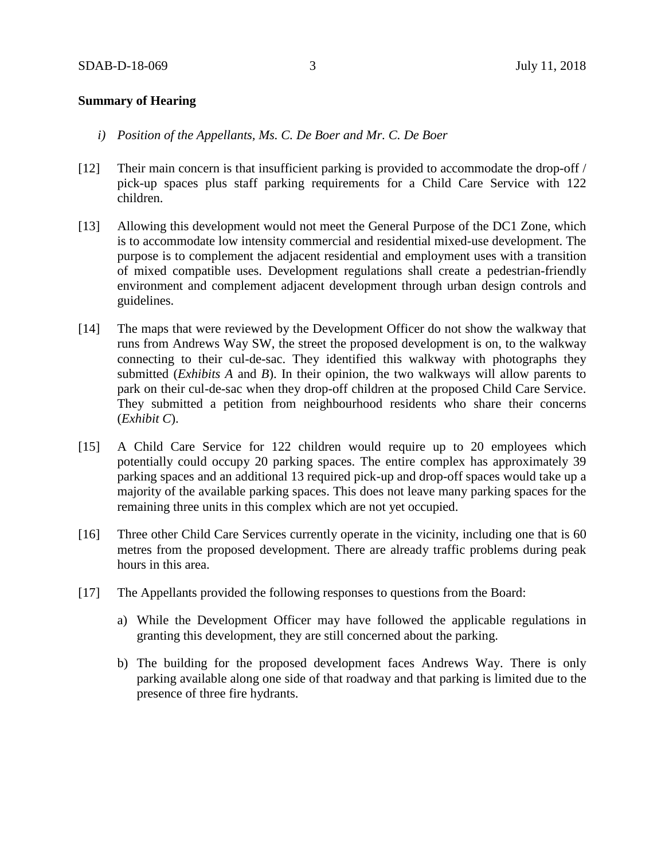## **Summary of Hearing**

- *i) Position of the Appellants, Ms. C. De Boer and Mr. C. De Boer*
- [12] Their main concern is that insufficient parking is provided to accommodate the drop-off / pick-up spaces plus staff parking requirements for a Child Care Service with 122 children.
- [13] Allowing this development would not meet the General Purpose of the DC1 Zone, which is to accommodate low intensity commercial and residential mixed-use development. The purpose is to complement the adjacent residential and employment uses with a transition of mixed compatible uses. Development regulations shall create a pedestrian-friendly environment and complement adjacent development through urban design controls and guidelines.
- [14] The maps that were reviewed by the Development Officer do not show the walkway that runs from Andrews Way SW, the street the proposed development is on, to the walkway connecting to their cul-de-sac. They identified this walkway with photographs they submitted (*Exhibits A* and *B*). In their opinion, the two walkways will allow parents to park on their cul-de-sac when they drop-off children at the proposed Child Care Service. They submitted a petition from neighbourhood residents who share their concerns (*Exhibit C*).
- [15] A Child Care Service for 122 children would require up to 20 employees which potentially could occupy 20 parking spaces. The entire complex has approximately 39 parking spaces and an additional 13 required pick-up and drop-off spaces would take up a majority of the available parking spaces. This does not leave many parking spaces for the remaining three units in this complex which are not yet occupied.
- [16] Three other Child Care Services currently operate in the vicinity, including one that is 60 metres from the proposed development. There are already traffic problems during peak hours in this area.
- [17] The Appellants provided the following responses to questions from the Board:
	- a) While the Development Officer may have followed the applicable regulations in granting this development, they are still concerned about the parking.
	- b) The building for the proposed development faces Andrews Way. There is only parking available along one side of that roadway and that parking is limited due to the presence of three fire hydrants.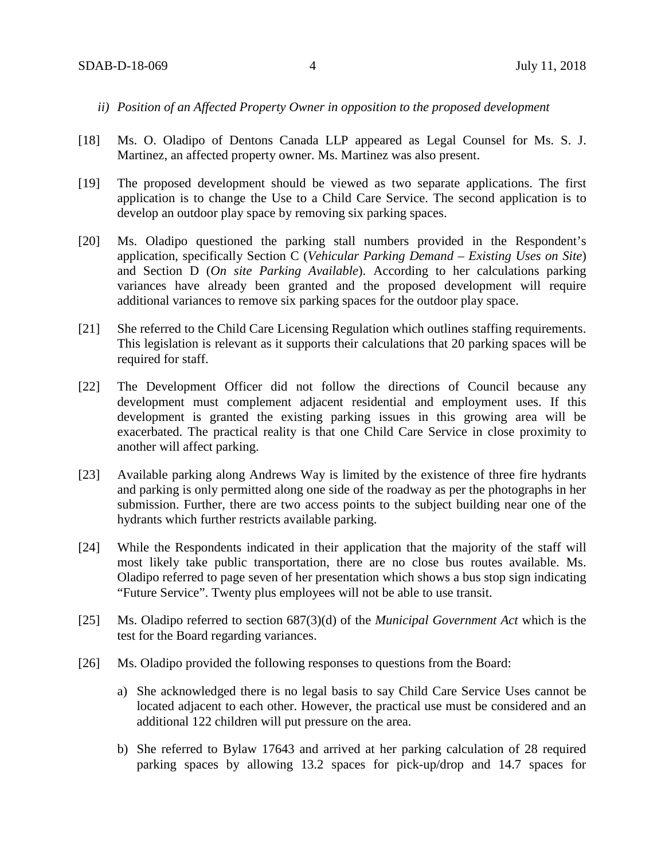- *ii) Position of an Affected Property Owner in opposition to the proposed development*
- [18] Ms. O. Oladipo of Dentons Canada LLP appeared as Legal Counsel for Ms. S. J. Martinez, an affected property owner. Ms. Martinez was also present.
- [19] The proposed development should be viewed as two separate applications. The first application is to change the Use to a Child Care Service. The second application is to develop an outdoor play space by removing six parking spaces.
- [20] Ms. Oladipo questioned the parking stall numbers provided in the Respondent's application, specifically Section C (*Vehicular Parking Demand – Existing Uses on Site*) and Section D (*On site Parking Available*). According to her calculations parking variances have already been granted and the proposed development will require additional variances to remove six parking spaces for the outdoor play space.
- [21] She referred to the Child Care Licensing Regulation which outlines staffing requirements. This legislation is relevant as it supports their calculations that 20 parking spaces will be required for staff.
- [22] The Development Officer did not follow the directions of Council because any development must complement adjacent residential and employment uses. If this development is granted the existing parking issues in this growing area will be exacerbated. The practical reality is that one Child Care Service in close proximity to another will affect parking.
- [23] Available parking along Andrews Way is limited by the existence of three fire hydrants and parking is only permitted along one side of the roadway as per the photographs in her submission. Further, there are two access points to the subject building near one of the hydrants which further restricts available parking.
- [24] While the Respondents indicated in their application that the majority of the staff will most likely take public transportation, there are no close bus routes available. Ms. Oladipo referred to page seven of her presentation which shows a bus stop sign indicating "Future Service". Twenty plus employees will not be able to use transit.
- [25] Ms. Oladipo referred to section 687(3)(d) of the *Municipal Government Act* which is the test for the Board regarding variances.
- [26] Ms. Oladipo provided the following responses to questions from the Board:
	- a) She acknowledged there is no legal basis to say Child Care Service Uses cannot be located adjacent to each other. However, the practical use must be considered and an additional 122 children will put pressure on the area.
	- b) She referred to Bylaw 17643 and arrived at her parking calculation of 28 required parking spaces by allowing 13.2 spaces for pick-up/drop and 14.7 spaces for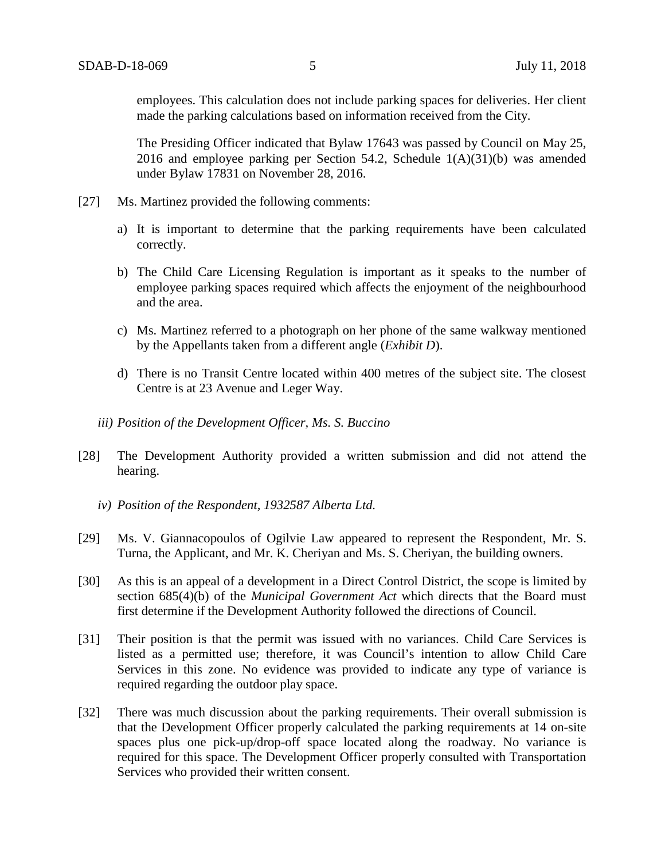employees. This calculation does not include parking spaces for deliveries. Her client made the parking calculations based on information received from the City.

The Presiding Officer indicated that Bylaw 17643 was passed by Council on May 25, 2016 and employee parking per Section 54.2, Schedule 1(A)(31)(b) was amended under Bylaw 17831 on November 28, 2016.

- [27] Ms. Martinez provided the following comments:
	- a) It is important to determine that the parking requirements have been calculated correctly.
	- b) The Child Care Licensing Regulation is important as it speaks to the number of employee parking spaces required which affects the enjoyment of the neighbourhood and the area.
	- c) Ms. Martinez referred to a photograph on her phone of the same walkway mentioned by the Appellants taken from a different angle (*Exhibit D*).
	- d) There is no Transit Centre located within 400 metres of the subject site. The closest Centre is at 23 Avenue and Leger Way.
	- *iii) Position of the Development Officer, Ms. S. Buccino*
- [28] The Development Authority provided a written submission and did not attend the hearing.
	- *iv) Position of the Respondent, 1932587 Alberta Ltd.*
- [29] Ms. V. Giannacopoulos of Ogilvie Law appeared to represent the Respondent, Mr. S. Turna, the Applicant, and Mr. K. Cheriyan and Ms. S. Cheriyan, the building owners.
- [30] As this is an appeal of a development in a Direct Control District, the scope is limited by section 685(4)(b) of the *Municipal Government Act* which directs that the Board must first determine if the Development Authority followed the directions of Council.
- [31] Their position is that the permit was issued with no variances. Child Care Services is listed as a permitted use; therefore, it was Council's intention to allow Child Care Services in this zone. No evidence was provided to indicate any type of variance is required regarding the outdoor play space.
- [32] There was much discussion about the parking requirements. Their overall submission is that the Development Officer properly calculated the parking requirements at 14 on-site spaces plus one pick-up/drop-off space located along the roadway. No variance is required for this space. The Development Officer properly consulted with Transportation Services who provided their written consent.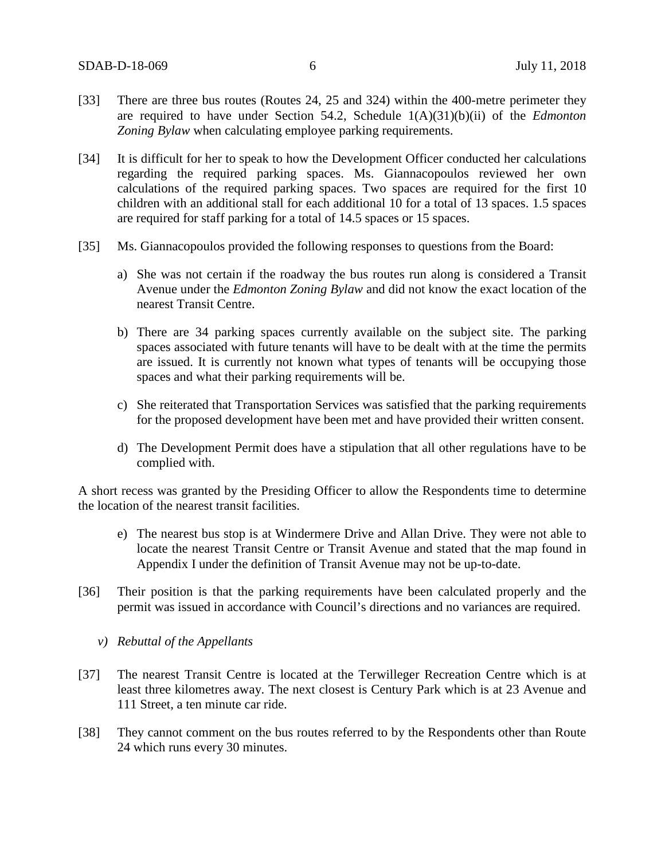- [33] There are three bus routes (Routes 24, 25 and 324) within the 400-metre perimeter they are required to have under Section 54.2, Schedule 1(A)(31)(b)(ii) of the *Edmonton Zoning Bylaw* when calculating employee parking requirements.
- [34] It is difficult for her to speak to how the Development Officer conducted her calculations regarding the required parking spaces. Ms. Giannacopoulos reviewed her own calculations of the required parking spaces. Two spaces are required for the first 10 children with an additional stall for each additional 10 for a total of 13 spaces. 1.5 spaces are required for staff parking for a total of 14.5 spaces or 15 spaces.
- [35] Ms. Giannacopoulos provided the following responses to questions from the Board:
	- a) She was not certain if the roadway the bus routes run along is considered a Transit Avenue under the *Edmonton Zoning Bylaw* and did not know the exact location of the nearest Transit Centre.
	- b) There are 34 parking spaces currently available on the subject site. The parking spaces associated with future tenants will have to be dealt with at the time the permits are issued. It is currently not known what types of tenants will be occupying those spaces and what their parking requirements will be.
	- c) She reiterated that Transportation Services was satisfied that the parking requirements for the proposed development have been met and have provided their written consent.
	- d) The Development Permit does have a stipulation that all other regulations have to be complied with.

A short recess was granted by the Presiding Officer to allow the Respondents time to determine the location of the nearest transit facilities.

- e) The nearest bus stop is at Windermere Drive and Allan Drive. They were not able to locate the nearest Transit Centre or Transit Avenue and stated that the map found in Appendix I under the definition of Transit Avenue may not be up-to-date.
- [36] Their position is that the parking requirements have been calculated properly and the permit was issued in accordance with Council's directions and no variances are required.
	- *v) Rebuttal of the Appellants*
- [37] The nearest Transit Centre is located at the Terwilleger Recreation Centre which is at least three kilometres away. The next closest is Century Park which is at 23 Avenue and 111 Street, a ten minute car ride.
- [38] They cannot comment on the bus routes referred to by the Respondents other than Route 24 which runs every 30 minutes.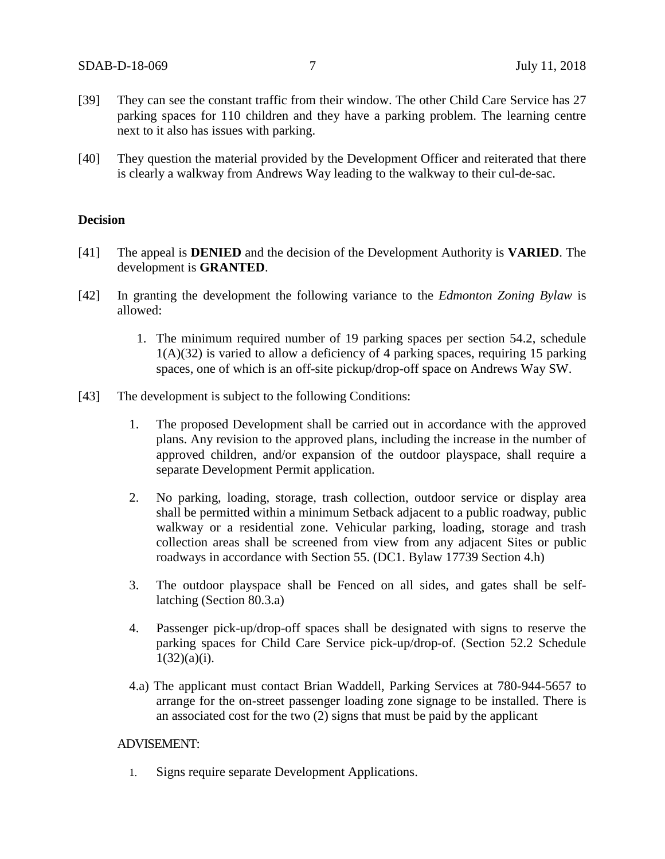- [39] They can see the constant traffic from their window. The other Child Care Service has 27 parking spaces for 110 children and they have a parking problem. The learning centre next to it also has issues with parking.
- [40] They question the material provided by the Development Officer and reiterated that there is clearly a walkway from Andrews Way leading to the walkway to their cul-de-sac.

#### **Decision**

- [41] The appeal is **DENIED** and the decision of the Development Authority is **VARIED**. The development is **GRANTED**.
- [42] In granting the development the following variance to the *Edmonton Zoning Bylaw* is allowed:
	- 1. The minimum required number of 19 parking spaces per section 54.2, schedule  $1(A)(32)$  is varied to allow a deficiency of 4 parking spaces, requiring 15 parking spaces, one of which is an off-site pickup/drop-off space on Andrews Way SW.
- [43] The development is subject to the following Conditions:
	- 1. The proposed Development shall be carried out in accordance with the approved plans. Any revision to the approved plans, including the increase in the number of approved children, and/or expansion of the outdoor playspace, shall require a separate Development Permit application.
	- 2. No parking, loading, storage, trash collection, outdoor service or display area shall be permitted within a minimum Setback adjacent to a public roadway, public walkway or a residential zone. Vehicular parking, loading, storage and trash collection areas shall be screened from view from any adjacent Sites or public roadways in accordance with Section 55. (DC1. Bylaw 17739 Section 4.h)
	- 3. The outdoor playspace shall be Fenced on all sides, and gates shall be selflatching (Section 80.3.a)
	- 4. Passenger pick-up/drop-off spaces shall be designated with signs to reserve the parking spaces for Child Care Service pick-up/drop-of. (Section 52.2 Schedule  $1(32)(a)(i)$ .
	- 4.a) The applicant must contact Brian Waddell, Parking Services at 780-944-5657 to arrange for the on-street passenger loading zone signage to be installed. There is an associated cost for the two (2) signs that must be paid by the applicant

#### ADVISEMENT:

1. Signs require separate Development Applications.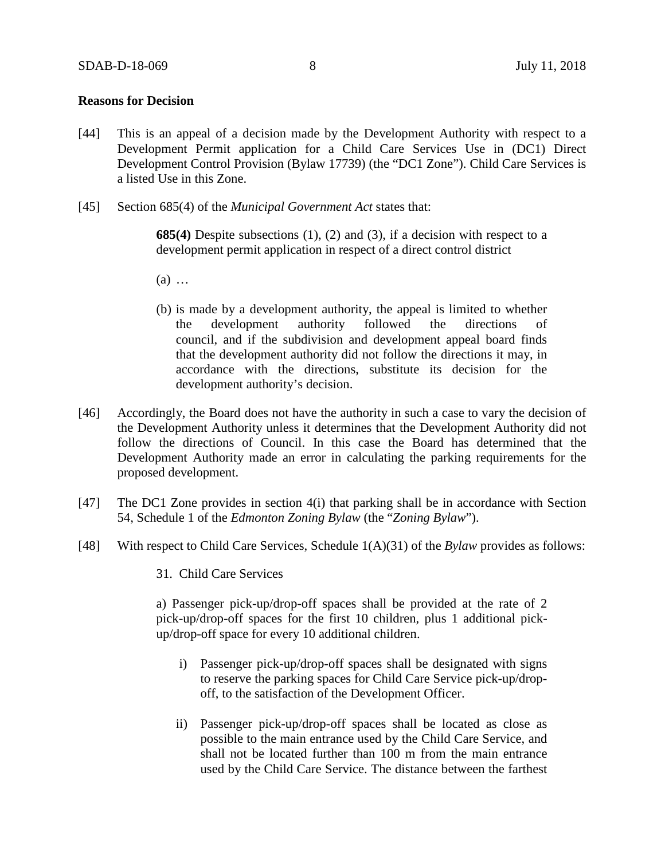## **Reasons for Decision**

- [44] This is an appeal of a decision made by the Development Authority with respect to a Development Permit application for a Child Care Services Use in (DC1) Direct Development Control Provision (Bylaw 17739) (the "DC1 Zone"). Child Care Services is a listed Use in this Zone.
- [45] Section 685(4) of the *Municipal Government Act* states that:

**685(4)** Despite subsections (1), (2) and (3), if a decision with respect to a development permit application in respect of a direct control district

- (a) …
- (b) is made by a development authority, the appeal is limited to whether the development authority followed the directions of council, and if the subdivision and development appeal board finds that the development authority did not follow the directions it may, in accordance with the directions, substitute its decision for the development authority's decision.
- [46] Accordingly, the Board does not have the authority in such a case to vary the decision of the Development Authority unless it determines that the Development Authority did not follow the directions of Council. In this case the Board has determined that the Development Authority made an error in calculating the parking requirements for the proposed development.
- [47] The DC1 Zone provides in section 4(i) that parking shall be in accordance with Section 54, Schedule 1 of the *Edmonton Zoning Bylaw* (the "*Zoning Bylaw*").
- [48] With respect to Child Care Services, Schedule 1(A)(31) of the *Bylaw* provides as follows:

31. Child Care Services

a) Passenger pick-up/drop-off spaces shall be provided at the rate of 2 pick-up/drop-off spaces for the first 10 children, plus 1 additional pickup/drop-off space for every 10 additional children.

- i) Passenger pick-up/drop-off spaces shall be designated with signs to reserve the parking spaces for Child Care Service pick-up/dropoff, to the satisfaction of the Development Officer.
- ii) Passenger pick-up/drop-off spaces shall be located as close as possible to the main entrance used by the Child Care Service, and shall not be located further than 100 m from the main entrance used by the Child Care Service. The distance between the farthest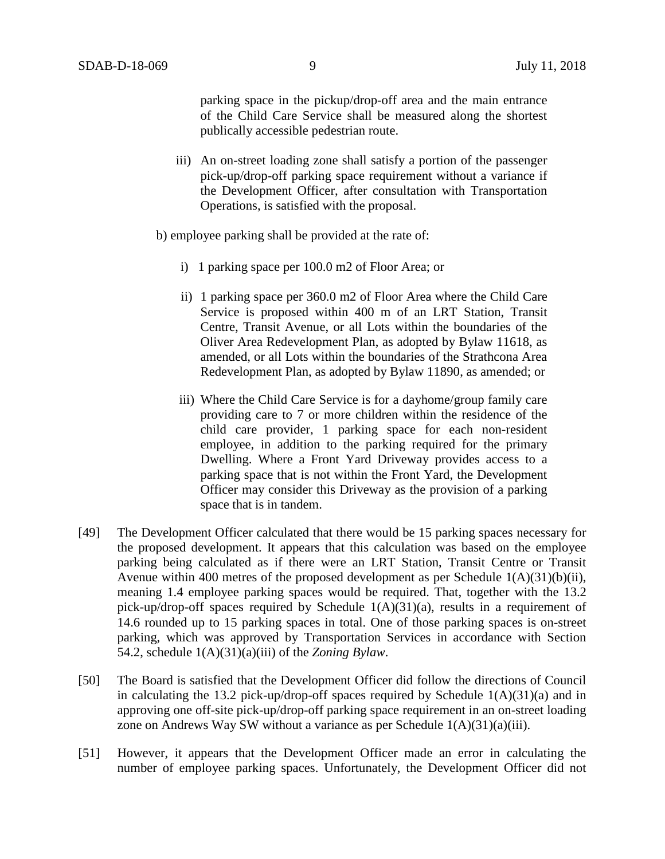parking space in the pickup/drop-off area and the main entrance of the Child Care Service shall be measured along the shortest publically accessible pedestrian route.

iii) An on-street loading zone shall satisfy a portion of the passenger pick-up/drop-off parking space requirement without a variance if the Development Officer, after consultation with Transportation Operations, is satisfied with the proposal.

b) employee parking shall be provided at the rate of:

- i) 1 parking space per 100.0 m2 of Floor Area; or
- ii) 1 parking space per 360.0 m2 of Floor Area where the Child Care Service is proposed within 400 m of an LRT Station, Transit Centre, Transit Avenue, or all Lots within the boundaries of the Oliver Area Redevelopment Plan, as adopted by Bylaw 11618, as amended, or all Lots within the boundaries of the Strathcona Area Redevelopment Plan, as adopted by Bylaw 11890, as amended; or
- iii) Where the Child Care Service is for a dayhome/group family care providing care to 7 or more children within the residence of the child care provider, 1 parking space for each non-resident employee, in addition to the parking required for the primary Dwelling. Where a Front Yard Driveway provides access to a parking space that is not within the Front Yard, the Development Officer may consider this Driveway as the provision of a parking space that is in tandem.
- [49] The Development Officer calculated that there would be 15 parking spaces necessary for the proposed development. It appears that this calculation was based on the employee parking being calculated as if there were an LRT Station, Transit Centre or Transit Avenue within 400 metres of the proposed development as per Schedule  $1(A)(31)(b)(ii)$ , meaning 1.4 employee parking spaces would be required. That, together with the 13.2 pick-up/drop-off spaces required by Schedule 1(A)(31)(a), results in a requirement of 14.6 rounded up to 15 parking spaces in total. One of those parking spaces is on-street parking, which was approved by Transportation Services in accordance with Section 54.2, schedule 1(A)(31)(a)(iii) of the *Zoning Bylaw*.
- [50] The Board is satisfied that the Development Officer did follow the directions of Council in calculating the 13.2 pick-up/drop-off spaces required by Schedule  $1(A)(31)(a)$  and in approving one off-site pick-up/drop-off parking space requirement in an on-street loading zone on Andrews Way SW without a variance as per Schedule  $1(A)(31)(a)(iii)$ .
- [51] However, it appears that the Development Officer made an error in calculating the number of employee parking spaces. Unfortunately, the Development Officer did not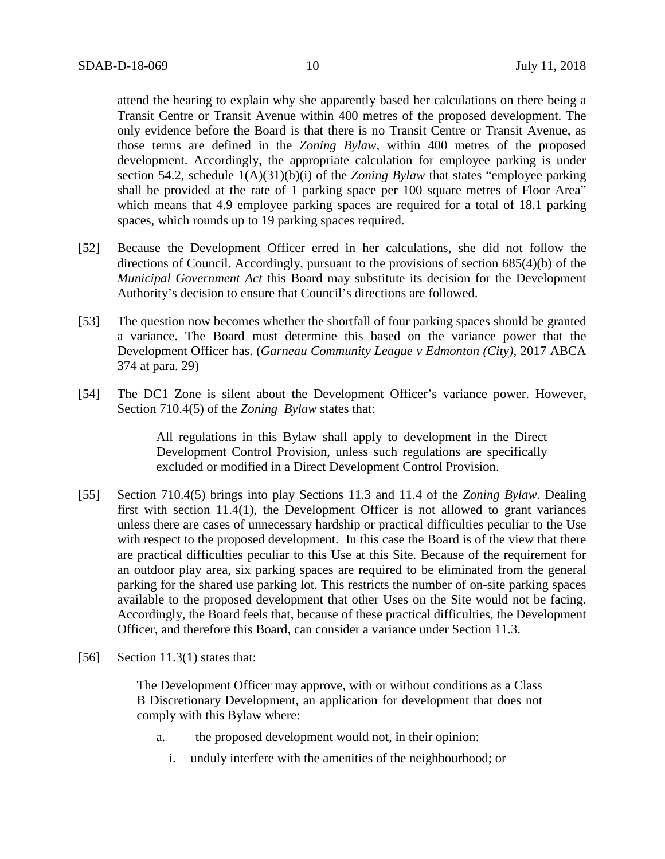attend the hearing to explain why she apparently based her calculations on there being a Transit Centre or Transit Avenue within 400 metres of the proposed development. The only evidence before the Board is that there is no Transit Centre or Transit Avenue, as those terms are defined in the *Zoning Bylaw*, within 400 metres of the proposed development. Accordingly, the appropriate calculation for employee parking is under section 54.2, schedule 1(A)(31)(b)(i) of the *Zoning Bylaw* that states "employee parking shall be provided at the rate of 1 parking space per 100 square metres of Floor Area" which means that 4.9 employee parking spaces are required for a total of 18.1 parking spaces, which rounds up to 19 parking spaces required.

- [52] Because the Development Officer erred in her calculations, she did not follow the directions of Council. Accordingly, pursuant to the provisions of section 685(4)(b) of the *Municipal Government Act* this Board may substitute its decision for the Development Authority's decision to ensure that Council's directions are followed.
- [53] The question now becomes whether the shortfall of four parking spaces should be granted a variance. The Board must determine this based on the variance power that the Development Officer has. (*Garneau Community League v Edmonton (City),* 2017 ABCA 374 at para. 29)
- [54] The DC1 Zone is silent about the Development Officer's variance power. However, Section 710.4(5) of the *Zoning Bylaw* states that:

All regulations in this Bylaw shall apply to development in the Direct Development Control Provision, unless such regulations are specifically excluded or modified in a Direct Development Control Provision.

- [55] Section 710.4(5) brings into play Sections 11.3 and 11.4 of the *Zoning Bylaw*. Dealing first with section 11.4(1), the Development Officer is not allowed to grant variances unless there are cases of unnecessary hardship or practical difficulties peculiar to the Use with respect to the proposed development. In this case the Board is of the view that there are practical difficulties peculiar to this Use at this Site. Because of the requirement for an outdoor play area, six parking spaces are required to be eliminated from the general parking for the shared use parking lot. This restricts the number of on-site parking spaces available to the proposed development that other Uses on the Site would not be facing. Accordingly, the Board feels that, because of these practical difficulties, the Development Officer, and therefore this Board, can consider a variance under Section 11.3.
- [56] Section 11.3(1) states that:

The Development Officer may approve, with or without conditions as a Class B Discretionary Development, an application for development that does not comply with this Bylaw where:

- a. the proposed development would not, in their opinion:
	- i. unduly interfere with the amenities of the neighbourhood; or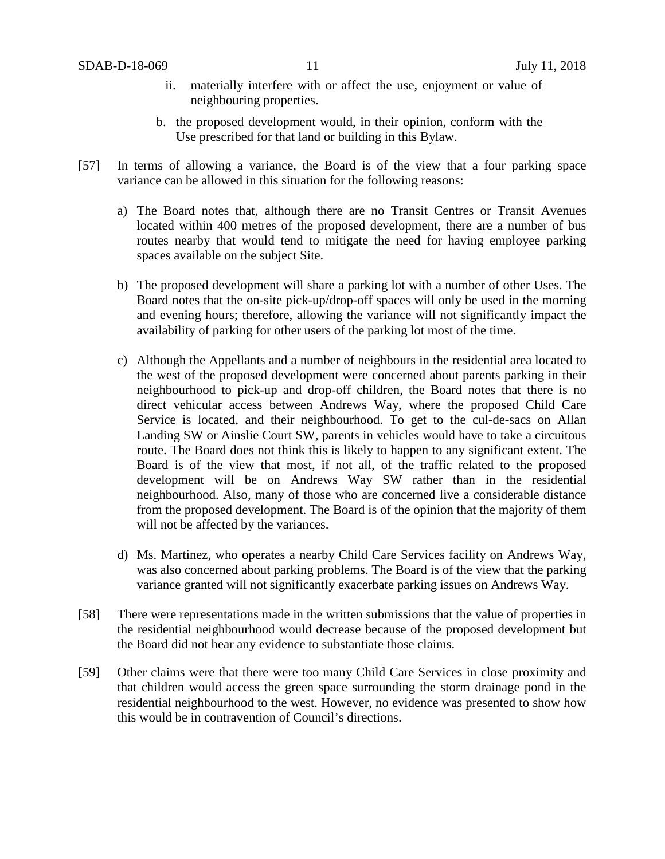- ii. materially interfere with or affect the use, enjoyment or value of neighbouring properties.
- b. the proposed development would, in their opinion, conform with the Use prescribed for that land or building in this Bylaw.
- [57] In terms of allowing a variance, the Board is of the view that a four parking space variance can be allowed in this situation for the following reasons:
	- a) The Board notes that, although there are no Transit Centres or Transit Avenues located within 400 metres of the proposed development, there are a number of bus routes nearby that would tend to mitigate the need for having employee parking spaces available on the subject Site.
	- b) The proposed development will share a parking lot with a number of other Uses. The Board notes that the on-site pick-up/drop-off spaces will only be used in the morning and evening hours; therefore, allowing the variance will not significantly impact the availability of parking for other users of the parking lot most of the time.
	- c) Although the Appellants and a number of neighbours in the residential area located to the west of the proposed development were concerned about parents parking in their neighbourhood to pick-up and drop-off children, the Board notes that there is no direct vehicular access between Andrews Way, where the proposed Child Care Service is located, and their neighbourhood. To get to the cul-de-sacs on Allan Landing SW or Ainslie Court SW, parents in vehicles would have to take a circuitous route. The Board does not think this is likely to happen to any significant extent. The Board is of the view that most, if not all, of the traffic related to the proposed development will be on Andrews Way SW rather than in the residential neighbourhood. Also, many of those who are concerned live a considerable distance from the proposed development. The Board is of the opinion that the majority of them will not be affected by the variances.
	- d) Ms. Martinez, who operates a nearby Child Care Services facility on Andrews Way, was also concerned about parking problems. The Board is of the view that the parking variance granted will not significantly exacerbate parking issues on Andrews Way.
- [58] There were representations made in the written submissions that the value of properties in the residential neighbourhood would decrease because of the proposed development but the Board did not hear any evidence to substantiate those claims.
- [59] Other claims were that there were too many Child Care Services in close proximity and that children would access the green space surrounding the storm drainage pond in the residential neighbourhood to the west. However, no evidence was presented to show how this would be in contravention of Council's directions.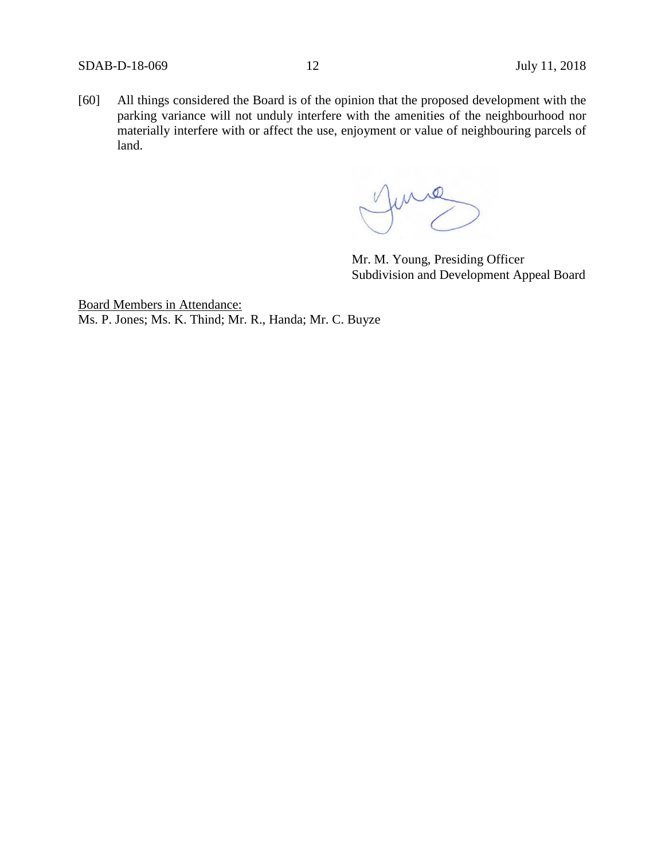[60] All things considered the Board is of the opinion that the proposed development with the parking variance will not unduly interfere with the amenities of the neighbourhood nor materially interfere with or affect the use, enjoyment or value of neighbouring parcels of land.

me

Mr. M. Young, Presiding Officer Subdivision and Development Appeal Board

Board Members in Attendance: Ms. P. Jones; Ms. K. Thind; Mr. R., Handa; Mr. C. Buyze